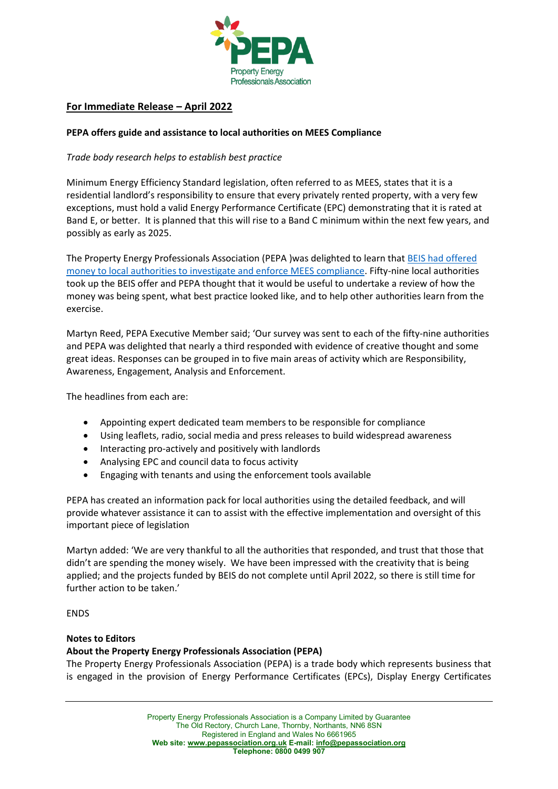

# **For Immediate Release – April 2022**

### **PEPA offers guide and assistance to local authorities on MEES Compliance**

## *Trade body research helps to establish best practice*

Minimum Energy Efficiency Standard legislation, often referred to as MEES, states that it is a residential landlord's responsibility to ensure that every privately rented property, with a very few exceptions, must hold a valid Energy Performance Certificate (EPC) demonstrating that it is rated at Band E, or better. It is planned that this will rise to a Band C minimum within the next few years, and possibly as early as 2025.

The Property Energy Professionals Association (PEPA )was delighted to learn tha[t BEIS had offered](https://www.gov.uk/government/publications/apply-for-private-rented-sector-minimum-energy-efficiency-standard-mees-compliance-and-enforcement-funding)  [money to local authorities to investigate and enforce MEES compliance.](https://www.gov.uk/government/publications/apply-for-private-rented-sector-minimum-energy-efficiency-standard-mees-compliance-and-enforcement-funding) Fifty-nine local authorities took up the BEIS offer and PEPA thought that it would be useful to undertake a review of how the money was being spent, what best practice looked like, and to help other authorities learn from the exercise.

Martyn Reed, PEPA Executive Member said; 'Our survey was sent to each of the fifty-nine authorities and PEPA was delighted that nearly a third responded with evidence of creative thought and some great ideas. Responses can be grouped in to five main areas of activity which are Responsibility, Awareness, Engagement, Analysis and Enforcement.

The headlines from each are:

- Appointing expert dedicated team members to be responsible for compliance
- Using leaflets, radio, social media and press releases to build widespread awareness
- Interacting pro-actively and positively with landlords
- Analysing EPC and council data to focus activity
- Engaging with tenants and using the enforcement tools available

PEPA has created an information pack for local authorities using the detailed feedback, and will provide whatever assistance it can to assist with the effective implementation and oversight of this important piece of legislation

Martyn added: 'We are very thankful to all the authorities that responded, and trust that those that didn't are spending the money wisely. We have been impressed with the creativity that is being applied; and the projects funded by BEIS do not complete until April 2022, so there is still time for further action to be taken.'

**ENDS** 

#### **Notes to Editors**

# **About the Property Energy Professionals Association (PEPA)**

The Property Energy Professionals Association (PEPA) is a trade body which represents business that is engaged in the provision of Energy Performance Certificates (EPCs), Display Energy Certificates